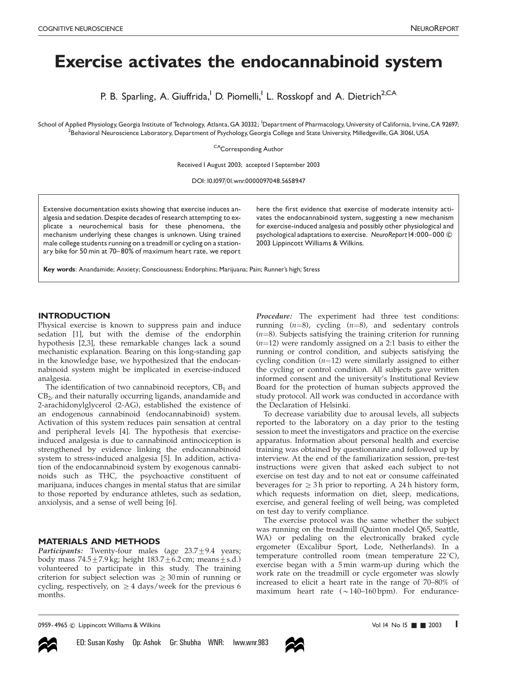# Exercise activates the endocannabinoid system

P. B. Sparling, A. Giuffrida,<sup>1</sup> D. Piomelli,<sup>1</sup> L. Rosskopf and A. Dietrich<sup>2,CA</sup>

School of Applied Physiology,Georgia Institute of Technology, Atlanta,GA 30332; <sup>I</sup>Department of Pharmacology,University of California, Irvine,CA 92697;<br><sup>2</sup>Bebaviaral Nouroscience Laboratory Department of Peychology Goorgi .<br>Behavioral Neuroscience Laboratory, Department of Psychology, Georgia College and State University, Milledgeville, GA 31061, USA

CA<sub>C</sub>orresponding Author

Received | August 2003; accepted | September 2003

DOI: 10.1097/01.wnr.0000097048.56589.47

Extensive documentation exists showing that exercise induces analgesia and sedation.Despite decades of research attempting to explicate a neurochemical basis for these phenomena, the mechanism underlying these changes is unknown. Using trained male college students running on a treadmill or cycling on a stationary bike for 50 min at 70-80% of maximum heart rate, we report here the first evidence that exercise of moderate intensity activates the endocannabinoid system, suggesting a new mechanism for exercise-induced analgesia and possibly other physiological and psychological adaptations to exercise. NeuroReport I4:000-000  $\odot$ 2003 Lippincott Williams & Wilkins.

Key words: Anandamide; Anxiety; Consciousness; Endorphins; Marijuana; Pain; Runner's high; Stress

#### INTRODUCTION

Physical exercise is known to suppress pain and induce sedation [1], but with the demise of the endorphin hypothesis [2,3], these remarkable changes lack a sound mechanistic explanation. Bearing on this long-standing gap in the knowledge base, we hypothesized that the endocannabinoid system might be implicated in exercise-induced analgesia.

The identification of two cannabinoid receptors,  $CB<sub>1</sub>$  and  $CB<sub>2</sub>$ , and their naturally occurring ligands, anandamide and 2-arachidonylglycerol (2-AG), established the existence of an endogenous cannabinoid (endocannabinoid) system. Activation of this system reduces pain sensation at central and peripheral levels [4]. The hypothesis that exerciseinduced analgesia is due to cannabinoid antinociception is strengthened by evidence linking the endocannabinoid system to stress-induced analgesia [5]. In addition, activation of the endocannabinoid system by exogenous cannabinoids such as THC, the psychoactive constituent of marijuana, induces changes in mental status that are similar to those reported by endurance athletes, such as sedation, anxiolysis, and a sense of well being [6].

## MATERIALS AND METHODS

Participants: Twenty-four males (age  $23.7 \pm 9.4$  years; body mass  $74.5\pm7.9$  kg; height  $183.7\pm6.2$  cm; means $\pm$ s.d.) volunteered to participate in this study. The training criterion for subject selection was  $\geq 30$  min of running or cycling, respectively, on  $\geq 4$  days/week for the previous 6 months.

Procedure: The experiment had three test conditions: running  $(n=8)$ , cycling  $(n=8)$ , and sedentary controls  $(n=8)$ . Subjects satisfying the training criterion for running  $(n=12)$  were randomly assigned on a 2:1 basis to either the running or control condition, and subjects satisfying the cycling condition  $(n=12)$  were similarly assigned to either the cycling or control condition. All subjects gave written informed consent and the university's Institutional Review Board for the protection of human subjects approved the study protocol. All work was conducted in accordance with the Declaration of Helsinki.

To decrease variability due to arousal levels, all subjects reported to the laboratory on a day prior to the testing session to meet the investigators and practice on the exercise apparatus. Information about personal health and exercise training was obtained by questionnaire and followed up by interview. At the end of the familiarization session, pre-test instructions were given that asked each subject to not exercise on test day and to not eat or consume caffeinated beverages for  $\geq$  3 h prior to reporting. A 24 h history form, which requests information on diet, sleep, medications, exercise, and general feeling of well being, was completed on test day to verify compliance.

The exercise protocol was the same whether the subject was running on the treadmill (Quinton model Q65, Seattle, WA) or pedaling on the electronically braked cycle ergometer (Excalibur Sport, Lode, Netherlands). In a temperature controlled room (mean temperature  $22^{\circ}$ C), exercise began with a 5 min warm-up during which the work rate on the treadmill or cycle ergometer was slowly increased to elicit a heart rate in the range of 70–80% of maximum heart rate  $({\sim}140-160$  bpm). For endurance-

0959-4965 © Lippincott Williams & Wilkins Vol 14 No 15 **and 2003** 1 and 2003 1 and 2003 1 and 2003 1 and 2003 1 and 2003 1 and 2003 1 and 2003 1 and 2003 1 and 2003 1 and 2003 1 and 2003 1 and 2003 1 and 2003 1 and 2003 1



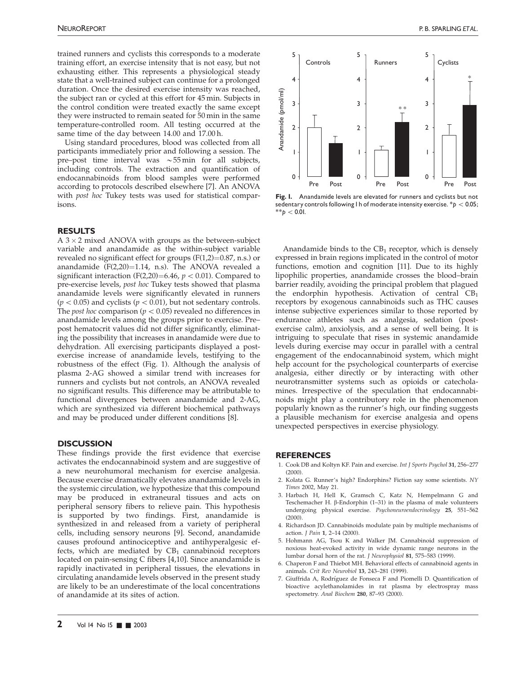trained runners and cyclists this corresponds to a moderate training effort, an exercise intensity that is not easy, but not exhausting either. This represents a physiological steady state that a well-trained subject can continue for a prolonged duration. Once the desired exercise intensity was reached, the subject ran or cycled at this effort for 45 min. Subjects in the control condition were treated exactly the same except they were instructed to remain seated for 50 min in the same temperature-controlled room. All testing occurred at the same time of the day between 14.00 and 17.00 h.

Using standard procedures, blood was collected from all participants immediately prior and following a session. The pre–post time interval was  $\sim$  55 min for all subjects, including controls. The extraction and quantification of endocannabinoids from blood samples were performed according to protocols described elsewhere [7]. An ANOVA with post hoc Tukey tests was used for statistical comparisons.

#### RESULTS

 $A$  3  $\times$  2 mixed ANOVA with groups as the between-subject variable and anandamide as the within-subject variable revealed no significant effect for groups  $(F(1,2)=0.87, n.s.)$  or anandamide  $(F(2,20)=1.14, n.s)$ . The ANOVA revealed a significant interaction (F(2,20)=6.46,  $p < 0.01$ ). Compared to pre-exercise levels, post hoc Tukey tests showed that plasma anandamide levels were significantly elevated in runners  $(p < 0.05)$  and cyclists  $(p < 0.01)$ , but not sedentary controls. The *post hoc* comparison ( $p < 0.05$ ) revealed no differences in anandamide levels among the groups prior to exercise. Pre– post hematocrit values did not differ significantly, eliminating the possibility that increases in anandamide were due to dehydration. All exercising participants displayed a postexercise increase of anandamide levels, testifying to the robustness of the effect (Fig. 1). Although the analysis of plasma 2-AG showed a similar trend with increases for runners and cyclists but not controls, an ANOVA revealed no significant results. This difference may be attributable to functional divergences between anandamide and 2-AG, which are synthesized via different biochemical pathways and may be produced under different conditions [8].

## **DISCUSSION**

These findings provide the first evidence that exercise activates the endocannabinoid system and are suggestive of a new neurohumoral mechanism for exercise analgesia. Because exercise dramatically elevates anandamide levels in the systemic circulation, we hypothesize that this compound may be produced in extraneural tissues and acts on peripheral sensory fibers to relieve pain. This hypothesis is supported by two findings. First, anandamide is synthesized in and released from a variety of peripheral cells, including sensory neurons [9]. Second, anandamide causes profound antinociceptive and antihyperalgesic effects, which are mediated by  $CB_1$  cannabinoid receptors located on pain-sensing C fibers [4,10]. Since anandamide is rapidly inactivated in peripheral tissues, the elevations in circulating anandamide levels observed in the present study are likely to be an underestimate of the local concentrations of anandamide at its sites of action.



Fig. I. Anandamide levels are elevated for runners and cyclists but not sedentary controls following I h of moderate intensity exercise.  $p < 0.05$ ;  $*$  $b < 0.01$ .

Anandamide binds to the  $CB_1$  receptor, which is densely expressed in brain regions implicated in the control of motor functions, emotion and cognition [11]. Due to its highly lipophilic properties, anandamide crosses the blood–brain barrier readily, avoiding the principal problem that plagued the endorphin hypothesis. Activation of central  $CB_1$ receptors by exogenous cannabinoids such as THC causes intense subjective experiences similar to those reported by endurance athletes such as analgesia, sedation (postexercise calm), anxiolysis, and a sense of well being. It is intriguing to speculate that rises in systemic anandamide levels during exercise may occur in parallel with a central engagement of the endocannabinoid system, which might help account for the psychological counterparts of exercise analgesia, either directly or by interacting with other neurotransmitter systems such as opioids or catecholamines. Irrespective of the speculation that endocannabinoids might play a contributory role in the phenomenon popularly known as the runner's high, our finding suggests a plausible mechanism for exercise analgesia and opens unexpected perspectives in exercise physiology.

## **REFERENCES**

- 1. Cook DB and Koltyn KF. Pain and exercise. Int J Sports Psychol 31, 256–277  $(2000)$
- 2. Kolata G. Runner's high? Endorphins? Fiction say some scientists. NY Times 2002, May 21.
- 3. Harbach H, Hell K, Gramsch C, Katz N, Hempelmann G and Teschemacher H. *b*-Endorphin (1–31) in the plasma of male volunteers undergoing physical exercise. Psychoneuroendocrinology 25, 551–562 (2000).
- 4. Richardson JD. Cannabinoids modulate pain by multiple mechanisms of action. J Pain 1, 2–14 (2000).
- 5. Hohmann AG, Tsou K and Walker JM. Cannabinoid suppression of noxious heat-evoked activity in wide dynamic range neurons in the lumbar dorsal horn of the rat. J Neurophysiol 81, 575–583 (1999).
- 6. Chaperon F and Thiebot MH. Behavioral effects of cannabinoid agents in animals. Crit Rev Neurobiol 13, 243–281 (1999).
- 7. Giuffrida A, Rodríguez de Fonseca F and Piomelli D. Quantification of bioactive acylethanolamides in rat plasma by electrospray mass spectometry. Anal Biochem 280, 87-93 (2000).